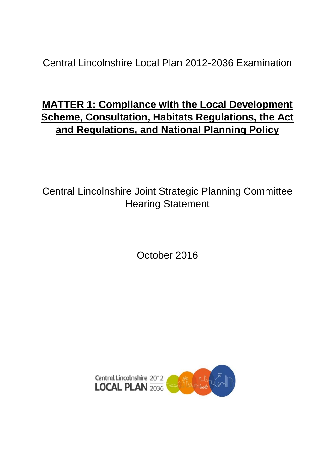Central Lincolnshire Local Plan 2012-2036 Examination

# **MATTER 1: Compliance with the Local Development Scheme, Consultation, Habitats Regulations, the Act and Regulations, and National Planning Policy**

Central Lincolnshire Joint Strategic Planning Committee Hearing Statement

October 2016

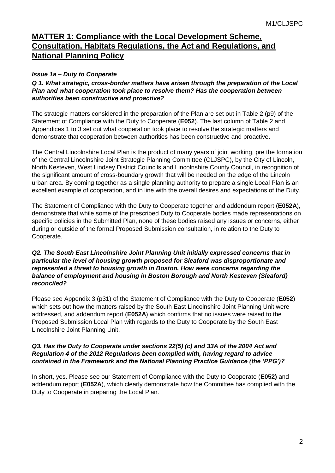## **MATTER 1: Compliance with the Local Development Scheme, Consultation, Habitats Regulations, the Act and Regulations, and National Planning Policy**

### *Issue 1a – Duty to Cooperate*

*Q 1. What strategic, cross-border matters have arisen through the preparation of the Local Plan and what cooperation took place to resolve them? Has the cooperation between authorities been constructive and proactive?*

The strategic matters considered in the preparation of the Plan are set out in Table 2 (p9) of the Statement of Compliance with the Duty to Cooperate (**E052**). The last column of Table 2 and Appendices 1 to 3 set out what cooperation took place to resolve the strategic matters and demonstrate that cooperation between authorities has been constructive and proactive.

The Central Lincolnshire Local Plan is the product of many years of joint working, pre the formation of the Central Lincolnshire Joint Strategic Planning Committee (CLJSPC), by the City of Lincoln, North Kesteven, West Lindsey District Councils and Lincolnshire County Council, in recognition of the significant amount of cross-boundary growth that will be needed on the edge of the Lincoln urban area. By coming together as a single planning authority to prepare a single Local Plan is an excellent example of cooperation, and in line with the overall desires and expectations of the Duty.

The Statement of Compliance with the Duty to Cooperate together and addendum report (**E052A**), demonstrate that while some of the prescribed Duty to Cooperate bodies made representations on specific policies in the Submitted Plan, none of these bodies raised any issues or concerns, either during or outside of the formal Proposed Submission consultation, in relation to the Duty to Cooperate.

#### *Q2. The South East Lincolnshire Joint Planning Unit initially expressed concerns that in particular the level of housing growth proposed for Sleaford was disproportionate and represented a threat to housing growth in Boston. How were concerns regarding the balance of employment and housing in Boston Borough and North Kesteven (Sleaford) reconciled?*

Please see Appendix 3 (p31) of the Statement of Compliance with the Duty to Cooperate (**E052**) which sets out how the matters raised by the South East Lincolnshire Joint Planning Unit were addressed, and addendum report (**E052A**) which confirms that no issues were raised to the Proposed Submission Local Plan with regards to the Duty to Cooperate by the South East Lincolnshire Joint Planning Unit.

#### *Q3. Has the Duty to Cooperate under sections 22(5) (c) and 33A of the 2004 Act and Regulation 4 of the 2012 Regulations been complied with, having regard to advice contained in the Framework and the National Planning Practice Guidance (the 'PPG')?*

In short, yes. Please see our Statement of Compliance with the Duty to Cooperate (**E052)** and addendum report (**E052A**), which clearly demonstrate how the Committee has complied with the Duty to Cooperate in preparing the Local Plan.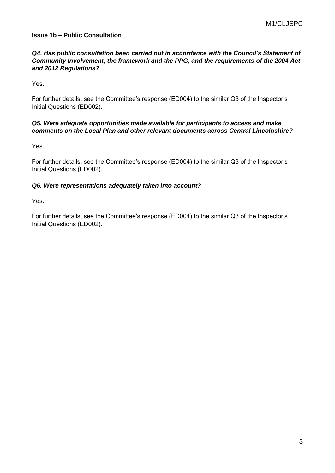#### **Issue 1b – Public Consultation**

#### *Q4. Has public consultation been carried out in accordance with the Council's Statement of Community Involvement, the framework and the PPG, and the requirements of the 2004 Act and 2012 Regulations?*

Yes.

For further details, see the Committee's response (ED004) to the similar Q3 of the Inspector's Initial Questions (ED002).

#### *Q5. Were adequate opportunities made available for participants to access and make comments on the Local Plan and other relevant documents across Central Lincolnshire?*

Yes.

For further details, see the Committee's response (ED004) to the similar Q3 of the Inspector's Initial Questions (ED002).

#### *Q6. Were representations adequately taken into account?*

Yes.

For further details, see the Committee's response (ED004) to the similar Q3 of the Inspector's Initial Questions (ED002).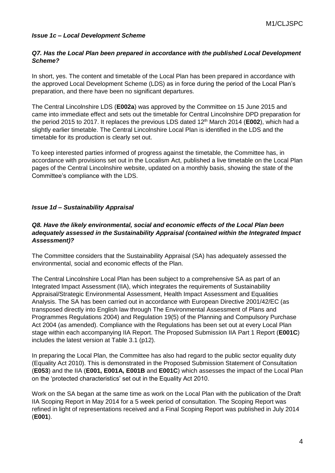#### *Issue 1c – Local Development Scheme*

#### *Q7. Has the Local Plan been prepared in accordance with the published Local Development Scheme?*

In short, yes. The content and timetable of the Local Plan has been prepared in accordance with the approved Local Development Scheme (LDS) as in force during the period of the Local Plan's preparation, and there have been no significant departures.

The Central Lincolnshire LDS (**E002a**) was approved by the Committee on 15 June 2015 and came into immediate effect and sets out the timetable for Central Lincolnshire DPD preparation for the period 2015 to 2017. It replaces the previous LDS dated 12th March 2014 (**E002**), which had a slightly earlier timetable. The Central Lincolnshire Local Plan is identified in the LDS and the timetable for its production is clearly set out.

To keep interested parties informed of progress against the timetable, the Committee has, in accordance with provisions set out in the Localism Act, published a live timetable on the Local Plan pages of the Central Lincolnshire website, updated on a monthly basis, showing the state of the Committee's compliance with the LDS.

#### *Issue 1d – Sustainability Appraisal*

#### *Q8. Have the likely environmental, social and economic effects of the Local Plan been adequately assessed in the Sustainability Appraisal (contained within the Integrated Impact Assessment)?*

The Committee considers that the Sustainability Appraisal (SA) has adequately assessed the environmental, social and economic effects of the Plan.

The Central Lincolnshire Local Plan has been subject to a comprehensive SA as part of an Integrated Impact Assessment (IIA), which integrates the requirements of Sustainability Appraisal/Strategic Environmental Assessment, Health Impact Assessment and Equalities Analysis. The SA has been carried out in accordance with European Directive 2001/42/EC (as transposed directly into English law through The Environmental Assessment of Plans and Programmes Regulations 2004) and Regulation 19(5) of the Planning and Compulsory Purchase Act 2004 (as amended). Compliance with the Regulations has been set out at every Local Plan stage within each accompanying IIA Report. The Proposed Submission IIA Part 1 Report (**E001C**) includes the latest version at Table 3.1 (p12).

In preparing the Local Plan, the Committee has also had regard to the public sector equality duty (Equality Act 2010). This is demonstrated in the Proposed Submission Statement of Consultation (**E053**) and the IIA (**E001, E001A, E001B** and **E001C**) which assesses the impact of the Local Plan on the 'protected characteristics' set out in the Equality Act 2010.

Work on the SA began at the same time as work on the Local Plan with the publication of the Draft IIA Scoping Report in May 2014 for a 5 week period of consultation. The Scoping Report was refined in light of representations received and a Final Scoping Report was published in July 2014 (**E001**).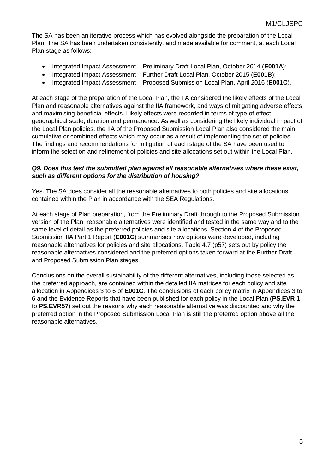The SA has been an iterative process which has evolved alongside the preparation of the Local Plan. The SA has been undertaken consistently, and made available for comment, at each Local Plan stage as follows:

- Integrated Impact Assessment Preliminary Draft Local Plan, October 2014 (**E001A**);
- Integrated Impact Assessment Further Draft Local Plan, October 2015 (**E001B**);
- Integrated Impact Assessment Proposed Submission Local Plan, April 2016 (**E001C**).

At each stage of the preparation of the Local Plan, the IIA considered the likely effects of the Local Plan and reasonable alternatives against the IIA framework, and ways of mitigating adverse effects and maximising beneficial effects. Likely effects were recorded in terms of type of effect, geographical scale, duration and permanence. As well as considering the likely individual impact of the Local Plan policies, the IIA of the Proposed Submission Local Plan also considered the main cumulative or combined effects which may occur as a result of implementing the set of policies. The findings and recommendations for mitigation of each stage of the SA have been used to inform the selection and refinement of policies and site allocations set out within the Local Plan.

#### *Q9. Does this test the submitted plan against all reasonable alternatives where these exist, such as different options for the distribution of housing?*

Yes. The SA does consider all the reasonable alternatives to both policies and site allocations contained within the Plan in accordance with the SEA Regulations.

At each stage of Plan preparation, from the Preliminary Draft through to the Proposed Submission version of the Plan, reasonable alternatives were identified and tested in the same way and to the same level of detail as the preferred policies and site allocations. Section 4 of the Proposed Submission IIA Part 1 Report (**E001C**) summarises how options were developed, including reasonable alternatives for policies and site allocations. Table 4.7 (p57) sets out by policy the reasonable alternatives considered and the preferred options taken forward at the Further Draft and Proposed Submission Plan stages.

Conclusions on the overall sustainability of the different alternatives, including those selected as the preferred approach, are contained within the detailed IIA matrices for each policy and site allocation in Appendices 3 to 6 of **E001C**. The conclusions of each policy matrix in Appendices 3 to 6 and the Evidence Reports that have been published for each policy in the Local Plan (**PS.EVR 1** to **PS.EVR57**) set out the reasons why each reasonable alternative was discounted and why the preferred option in the Proposed Submission Local Plan is still the preferred option above all the reasonable alternatives.